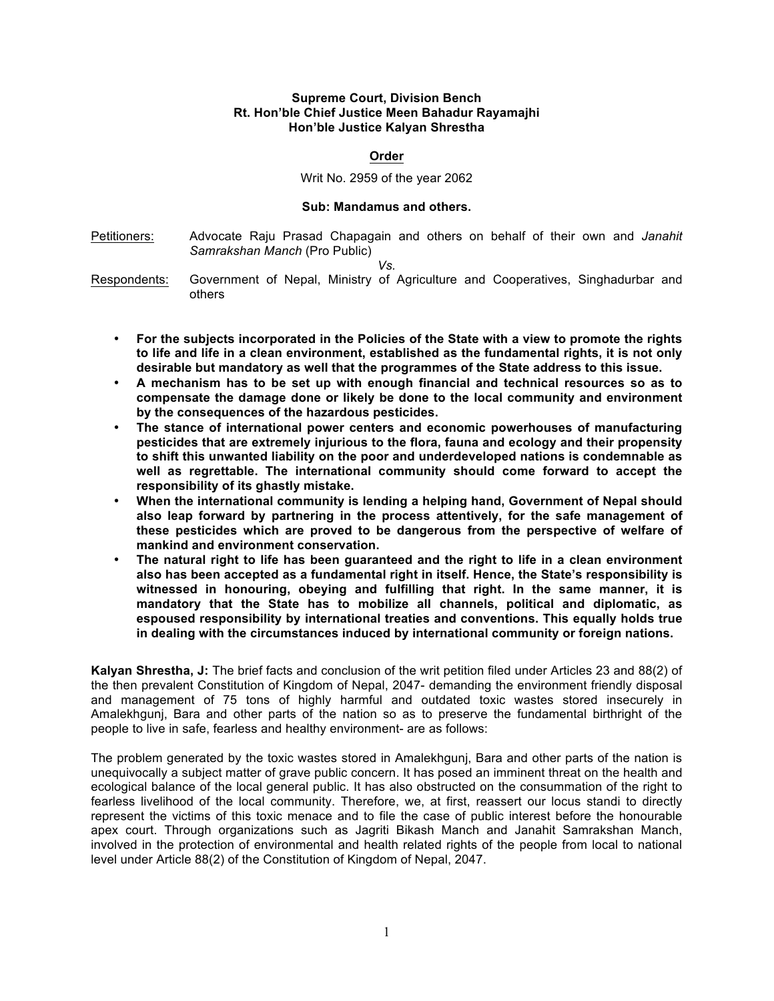## **Supreme Court, Division Bench Rt. Hon'ble Chief Justice Meen Bahadur Rayamajhi Hon'ble Justice Kalyan Shrestha**

## **Order**

Writ No. 2959 of the year 2062

## **Sub: Mandamus and others.**

Petitioners: Advocate Raju Prasad Chapagain and others on behalf of their own and *Janahit Samrakshan Manch* (Pro Public)

*Vs.*

- Respondents: Government of Nepal, Ministry of Agriculture and Cooperatives, Singhadurbar and others
	- **For the subjects incorporated in the Policies of the State with a view to promote the rights to life and life in a clean environment, established as the fundamental rights, it is not only desirable but mandatory as well that the programmes of the State address to this issue.**
	- **A mechanism has to be set up with enough financial and technical resources so as to compensate the damage done or likely be done to the local community and environment by the consequences of the hazardous pesticides.**
	- **The stance of international power centers and economic powerhouses of manufacturing pesticides that are extremely injurious to the flora, fauna and ecology and their propensity to shift this unwanted liability on the poor and underdeveloped nations is condemnable as well as regrettable. The international community should come forward to accept the responsibility of its ghastly mistake.**
	- **When the international community is lending a helping hand, Government of Nepal should also leap forward by partnering in the process attentively, for the safe management of these pesticides which are proved to be dangerous from the perspective of welfare of mankind and environment conservation.**
	- **The natural right to life has been guaranteed and the right to life in a clean environment also has been accepted as a fundamental right in itself. Hence, the State's responsibility is witnessed in honouring, obeying and fulfilling that right. In the same manner, it is mandatory that the State has to mobilize all channels, political and diplomatic, as espoused responsibility by international treaties and conventions. This equally holds true in dealing with the circumstances induced by international community or foreign nations.**

**Kalyan Shrestha, J:** The brief facts and conclusion of the writ petition filed under Articles 23 and 88(2) of the then prevalent Constitution of Kingdom of Nepal, 2047- demanding the environment friendly disposal and management of 75 tons of highly harmful and outdated toxic wastes stored insecurely in Amalekhgunj, Bara and other parts of the nation so as to preserve the fundamental birthright of the people to live in safe, fearless and healthy environment- are as follows:

The problem generated by the toxic wastes stored in Amalekhgunj, Bara and other parts of the nation is unequivocally a subject matter of grave public concern. It has posed an imminent threat on the health and ecological balance of the local general public. It has also obstructed on the consummation of the right to fearless livelihood of the local community. Therefore, we, at first, reassert our locus standi to directly represent the victims of this toxic menace and to file the case of public interest before the honourable apex court. Through organizations such as Jagriti Bikash Manch and Janahit Samrakshan Manch, involved in the protection of environmental and health related rights of the people from local to national level under Article 88(2) of the Constitution of Kingdom of Nepal, 2047.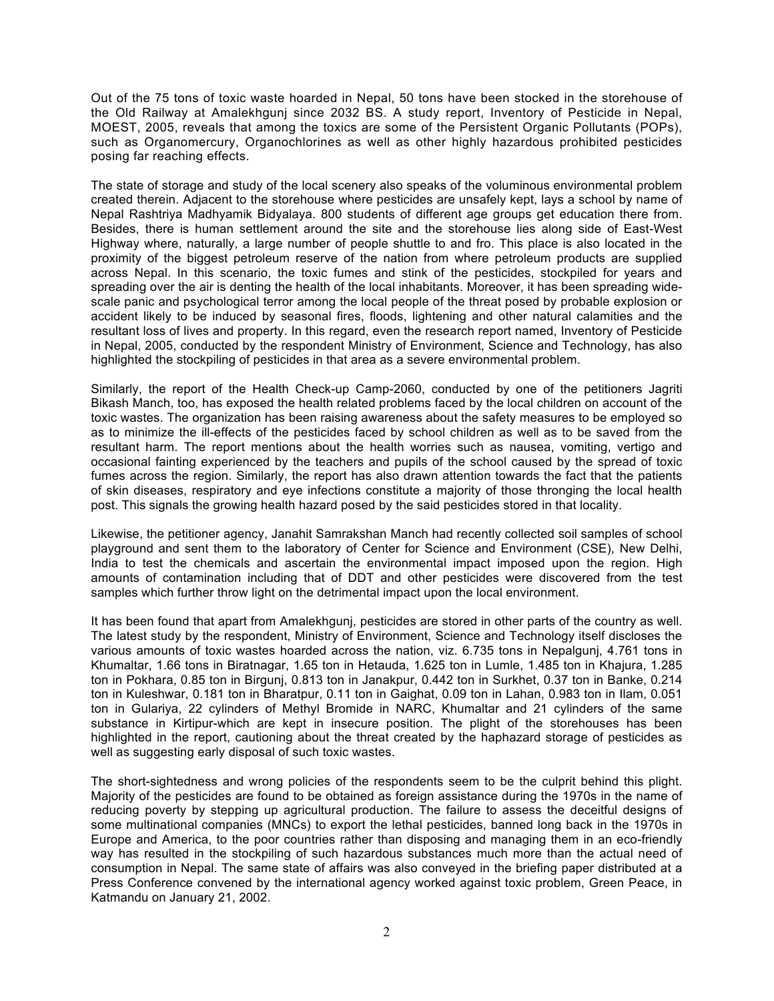Out of the 75 tons of toxic waste hoarded in Nepal, 50 tons have been stocked in the storehouse of the Old Railway at Amalekhgunj since 2032 BS. A study report, Inventory of Pesticide in Nepal, MOEST, 2005, reveals that among the toxics are some of the Persistent Organic Pollutants (POPs), such as Organomercury, Organochlorines as well as other highly hazardous prohibited pesticides posing far reaching effects.

The state of storage and study of the local scenery also speaks of the voluminous environmental problem created therein. Adjacent to the storehouse where pesticides are unsafely kept, lays a school by name of Nepal Rashtriya Madhyamik Bidyalaya. 800 students of different age groups get education there from. Besides, there is human settlement around the site and the storehouse lies along side of East-West Highway where, naturally, a large number of people shuttle to and fro. This place is also located in the proximity of the biggest petroleum reserve of the nation from where petroleum products are supplied across Nepal. In this scenario, the toxic fumes and stink of the pesticides, stockpiled for years and spreading over the air is denting the health of the local inhabitants. Moreover, it has been spreading widescale panic and psychological terror among the local people of the threat posed by probable explosion or accident likely to be induced by seasonal fires, floods, lightening and other natural calamities and the resultant loss of lives and property. In this regard, even the research report named, Inventory of Pesticide in Nepal, 2005, conducted by the respondent Ministry of Environment, Science and Technology, has also highlighted the stockpiling of pesticides in that area as a severe environmental problem.

Similarly, the report of the Health Check-up Camp-2060, conducted by one of the petitioners Jagriti Bikash Manch, too, has exposed the health related problems faced by the local children on account of the toxic wastes. The organization has been raising awareness about the safety measures to be employed so as to minimize the ill-effects of the pesticides faced by school children as well as to be saved from the resultant harm. The report mentions about the health worries such as nausea, vomiting, vertigo and occasional fainting experienced by the teachers and pupils of the school caused by the spread of toxic fumes across the region. Similarly, the report has also drawn attention towards the fact that the patients of skin diseases, respiratory and eye infections constitute a majority of those thronging the local health post. This signals the growing health hazard posed by the said pesticides stored in that locality.

Likewise, the petitioner agency, Janahit Samrakshan Manch had recently collected soil samples of school playground and sent them to the laboratory of Center for Science and Environment (CSE), New Delhi, India to test the chemicals and ascertain the environmental impact imposed upon the region. High amounts of contamination including that of DDT and other pesticides were discovered from the test samples which further throw light on the detrimental impact upon the local environment.

It has been found that apart from Amalekhgunj, pesticides are stored in other parts of the country as well. The latest study by the respondent, Ministry of Environment, Science and Technology itself discloses the various amounts of toxic wastes hoarded across the nation, viz. 6.735 tons in Nepalgunj, 4.761 tons in Khumaltar, 1.66 tons in Biratnagar, 1.65 ton in Hetauda, 1.625 ton in Lumle, 1.485 ton in Khajura, 1.285 ton in Pokhara, 0.85 ton in Birgunj, 0.813 ton in Janakpur, 0.442 ton in Surkhet, 0.37 ton in Banke, 0.214 ton in Kuleshwar, 0.181 ton in Bharatpur, 0.11 ton in Gaighat, 0.09 ton in Lahan, 0.983 ton in Ilam, 0.051 ton in Gulariya, 22 cylinders of Methyl Bromide in NARC, Khumaltar and 21 cylinders of the same substance in Kirtipur-which are kept in insecure position. The plight of the storehouses has been highlighted in the report, cautioning about the threat created by the haphazard storage of pesticides as well as suggesting early disposal of such toxic wastes.

The short-sightedness and wrong policies of the respondents seem to be the culprit behind this plight. Majority of the pesticides are found to be obtained as foreign assistance during the 1970s in the name of reducing poverty by stepping up agricultural production. The failure to assess the deceitful designs of some multinational companies (MNCs) to export the lethal pesticides, banned long back in the 1970s in Europe and America, to the poor countries rather than disposing and managing them in an eco-friendly way has resulted in the stockpiling of such hazardous substances much more than the actual need of consumption in Nepal. The same state of affairs was also conveyed in the briefing paper distributed at a Press Conference convened by the international agency worked against toxic problem, Green Peace, in Katmandu on January 21, 2002.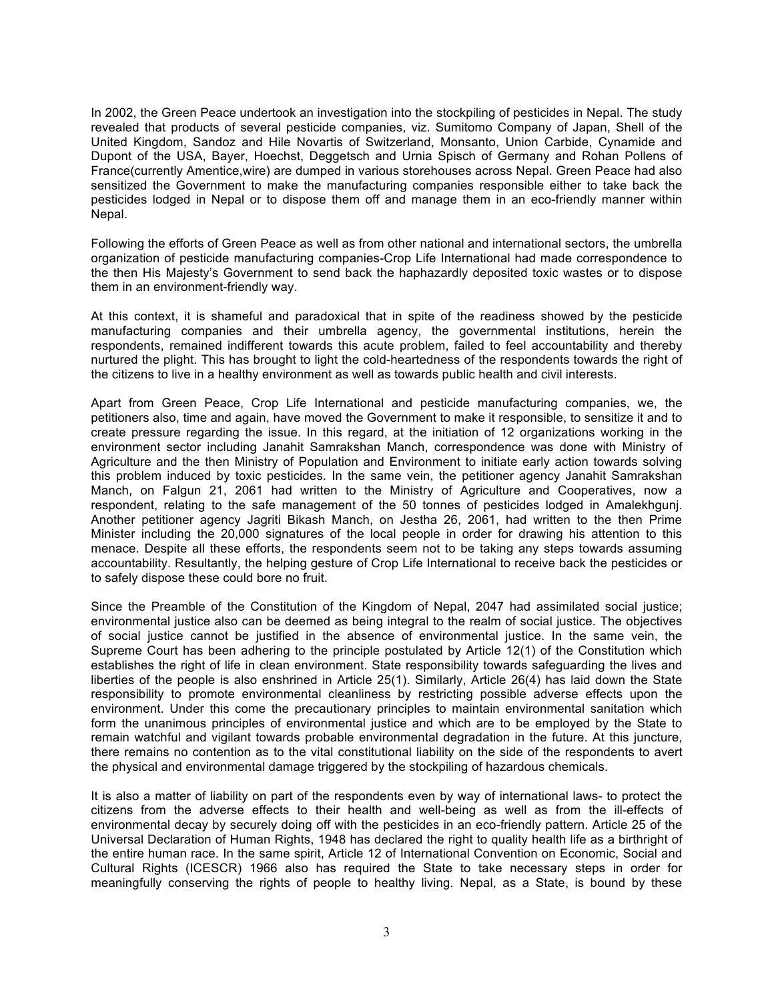In 2002, the Green Peace undertook an investigation into the stockpiling of pesticides in Nepal. The study revealed that products of several pesticide companies, viz. Sumitomo Company of Japan, Shell of the United Kingdom, Sandoz and Hile Novartis of Switzerland, Monsanto, Union Carbide, Cynamide and Dupont of the USA, Bayer, Hoechst, Deggetsch and Urnia Spisch of Germany and Rohan Pollens of France(currently Amentice,wire) are dumped in various storehouses across Nepal. Green Peace had also sensitized the Government to make the manufacturing companies responsible either to take back the pesticides lodged in Nepal or to dispose them off and manage them in an eco-friendly manner within Nepal.

Following the efforts of Green Peace as well as from other national and international sectors, the umbrella organization of pesticide manufacturing companies-Crop Life International had made correspondence to the then His Majesty's Government to send back the haphazardly deposited toxic wastes or to dispose them in an environment-friendly way.

At this context, it is shameful and paradoxical that in spite of the readiness showed by the pesticide manufacturing companies and their umbrella agency, the governmental institutions, herein the respondents, remained indifferent towards this acute problem, failed to feel accountability and thereby nurtured the plight. This has brought to light the cold-heartedness of the respondents towards the right of the citizens to live in a healthy environment as well as towards public health and civil interests.

Apart from Green Peace, Crop Life International and pesticide manufacturing companies, we, the petitioners also, time and again, have moved the Government to make it responsible, to sensitize it and to create pressure regarding the issue. In this regard, at the initiation of 12 organizations working in the environment sector including Janahit Samrakshan Manch, correspondence was done with Ministry of Agriculture and the then Ministry of Population and Environment to initiate early action towards solving this problem induced by toxic pesticides. In the same vein, the petitioner agency Janahit Samrakshan Manch, on Falgun 21, 2061 had written to the Ministry of Agriculture and Cooperatives, now a respondent, relating to the safe management of the 50 tonnes of pesticides lodged in Amalekhgunj. Another petitioner agency Jagriti Bikash Manch, on Jestha 26, 2061, had written to the then Prime Minister including the 20,000 signatures of the local people in order for drawing his attention to this menace. Despite all these efforts, the respondents seem not to be taking any steps towards assuming accountability. Resultantly, the helping gesture of Crop Life International to receive back the pesticides or to safely dispose these could bore no fruit.

Since the Preamble of the Constitution of the Kingdom of Nepal, 2047 had assimilated social justice; environmental justice also can be deemed as being integral to the realm of social justice. The objectives of social justice cannot be justified in the absence of environmental justice. In the same vein, the Supreme Court has been adhering to the principle postulated by Article 12(1) of the Constitution which establishes the right of life in clean environment. State responsibility towards safeguarding the lives and liberties of the people is also enshrined in Article 25(1). Similarly, Article 26(4) has laid down the State responsibility to promote environmental cleanliness by restricting possible adverse effects upon the environment. Under this come the precautionary principles to maintain environmental sanitation which form the unanimous principles of environmental justice and which are to be employed by the State to remain watchful and vigilant towards probable environmental degradation in the future. At this juncture, there remains no contention as to the vital constitutional liability on the side of the respondents to avert the physical and environmental damage triggered by the stockpiling of hazardous chemicals.

It is also a matter of liability on part of the respondents even by way of international laws- to protect the citizens from the adverse effects to their health and well-being as well as from the ill-effects of environmental decay by securely doing off with the pesticides in an eco-friendly pattern. Article 25 of the Universal Declaration of Human Rights, 1948 has declared the right to quality health life as a birthright of the entire human race. In the same spirit, Article 12 of International Convention on Economic, Social and Cultural Rights (ICESCR) 1966 also has required the State to take necessary steps in order for meaningfully conserving the rights of people to healthy living. Nepal, as a State, is bound by these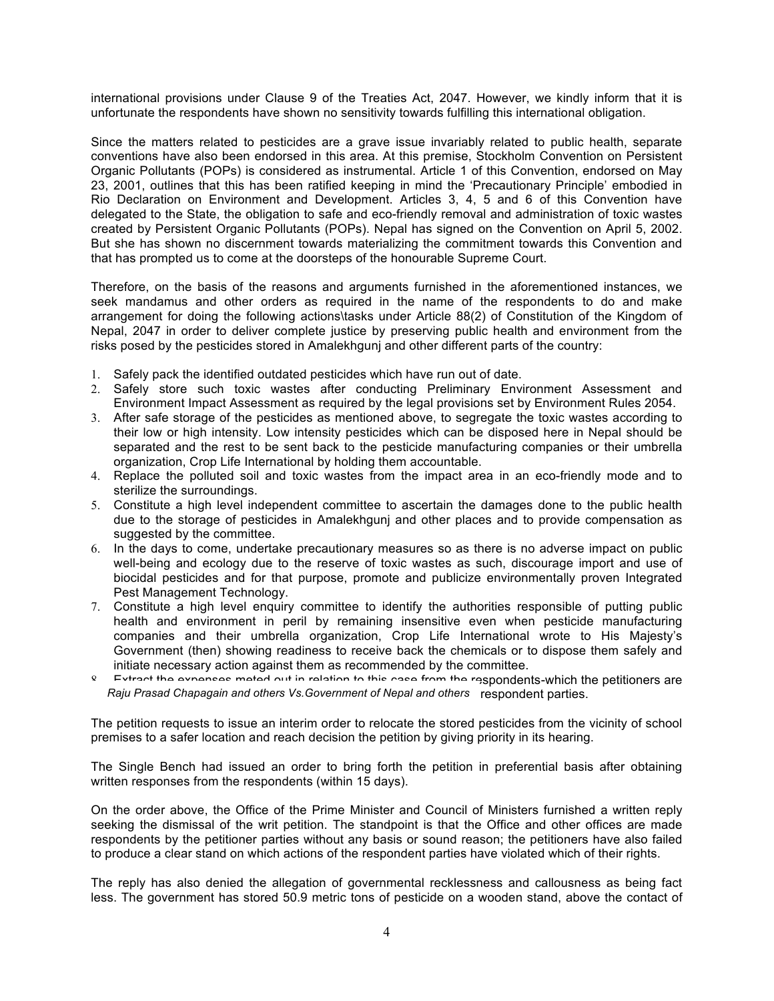international provisions under Clause 9 of the Treaties Act, 2047. However, we kindly inform that it is unfortunate the respondents have shown no sensitivity towards fulfilling this international obligation.

Since the matters related to pesticides are a grave issue invariably related to public health, separate conventions have also been endorsed in this area. At this premise, Stockholm Convention on Persistent Organic Pollutants (POPs) is considered as instrumental. Article 1 of this Convention, endorsed on May 23, 2001, outlines that this has been ratified keeping in mind the 'Precautionary Principle' embodied in Rio Declaration on Environment and Development. Articles 3, 4, 5 and 6 of this Convention have delegated to the State, the obligation to safe and eco-friendly removal and administration of toxic wastes created by Persistent Organic Pollutants (POPs). Nepal has signed on the Convention on April 5, 2002. But she has shown no discernment towards materializing the commitment towards this Convention and that has prompted us to come at the doorsteps of the honourable Supreme Court.

Therefore, on the basis of the reasons and arguments furnished in the aforementioned instances, we seek mandamus and other orders as required in the name of the respondents to do and make arrangement for doing the following actions\tasks under Article 88(2) of Constitution of the Kingdom of Nepal, 2047 in order to deliver complete justice by preserving public health and environment from the risks posed by the pesticides stored in Amalekhgunj and other different parts of the country:

- 1. Safely pack the identified outdated pesticides which have run out of date.
- 2. Safely store such toxic wastes after conducting Preliminary Environment Assessment and Environment Impact Assessment as required by the legal provisions set by Environment Rules 2054.
- 3. After safe storage of the pesticides as mentioned above, to segregate the toxic wastes according to their low or high intensity. Low intensity pesticides which can be disposed here in Nepal should be separated and the rest to be sent back to the pesticide manufacturing companies or their umbrella organization, Crop Life International by holding them accountable.
- 4. Replace the polluted soil and toxic wastes from the impact area in an eco-friendly mode and to sterilize the surroundings.
- 5. Constitute a high level independent committee to ascertain the damages done to the public health due to the storage of pesticides in Amalekhgunj and other places and to provide compensation as suggested by the committee.
- 6. In the days to come, undertake precautionary measures so as there is no adverse impact on public well-being and ecology due to the reserve of toxic wastes as such, discourage import and use of biocidal pesticides and for that purpose, promote and publicize environmentally proven Integrated Pest Management Technology.
- 7. Constitute a high level enquiry committee to identify the authorities responsible of putting public health and environment in peril by remaining insensitive even when pesticide manufacturing companies and their umbrella organization, Crop Life International wrote to His Majesty's Government (then) showing readiness to receive back the chemicals or to dispose them safely and initiate necessary action against them as recommended by the committee.
- Extract the expenses meted out in relation to this case from the respondents-which the petitioners are Raju Prasad Chapagain and others Vs.Government of Nepal and others respondent parties.

The petition requests to issue an interim order to relocate the stored pesticides from the vicinity of school premises to a safer location and reach decision the petition by giving priority in its hearing.

The Single Bench had issued an order to bring forth the petition in preferential basis after obtaining written responses from the respondents (within 15 days).

On the order above, the Office of the Prime Minister and Council of Ministers furnished a written reply seeking the dismissal of the writ petition. The standpoint is that the Office and other offices are made respondents by the petitioner parties without any basis or sound reason; the petitioners have also failed to produce a clear stand on which actions of the respondent parties have violated which of their rights.

The reply has also denied the allegation of governmental recklessness and callousness as being fact less. The government has stored 50.9 metric tons of pesticide on a wooden stand, above the contact of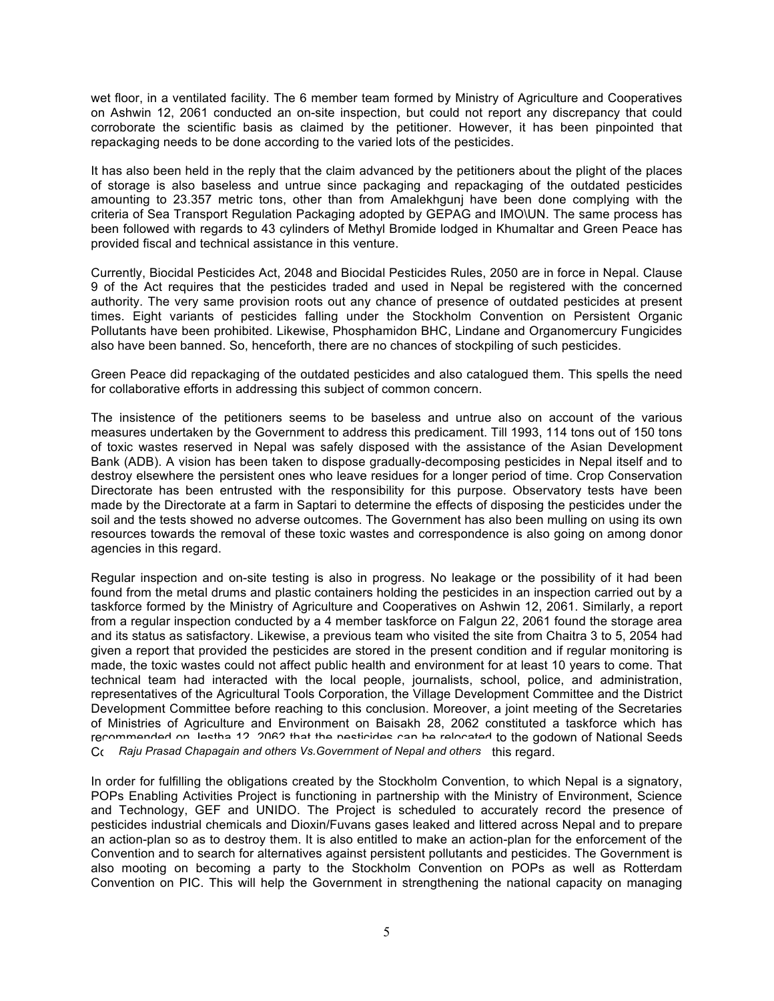wet floor, in a ventilated facility. The 6 member team formed by Ministry of Agriculture and Cooperatives on Ashwin 12, 2061 conducted an on-site inspection, but could not report any discrepancy that could corroborate the scientific basis as claimed by the petitioner. However, it has been pinpointed that repackaging needs to be done according to the varied lots of the pesticides.

It has also been held in the reply that the claim advanced by the petitioners about the plight of the places of storage is also baseless and untrue since packaging and repackaging of the outdated pesticides amounting to 23.357 metric tons, other than from Amalekhgunj have been done complying with the criteria of Sea Transport Regulation Packaging adopted by GEPAG and IMO\UN. The same process has been followed with regards to 43 cylinders of Methyl Bromide lodged in Khumaltar and Green Peace has provided fiscal and technical assistance in this venture.

Currently, Biocidal Pesticides Act, 2048 and Biocidal Pesticides Rules, 2050 are in force in Nepal. Clause 9 of the Act requires that the pesticides traded and used in Nepal be registered with the concerned authority. The very same provision roots out any chance of presence of outdated pesticides at present times. Eight variants of pesticides falling under the Stockholm Convention on Persistent Organic Pollutants have been prohibited. Likewise, Phosphamidon BHC, Lindane and Organomercury Fungicides also have been banned. So, henceforth, there are no chances of stockpiling of such pesticides.

Green Peace did repackaging of the outdated pesticides and also catalogued them. This spells the need for collaborative efforts in addressing this subject of common concern.

The insistence of the petitioners seems to be baseless and untrue also on account of the various measures undertaken by the Government to address this predicament. Till 1993, 114 tons out of 150 tons of toxic wastes reserved in Nepal was safely disposed with the assistance of the Asian Development Bank (ADB). A vision has been taken to dispose gradually-decomposing pesticides in Nepal itself and to destroy elsewhere the persistent ones who leave residues for a longer period of time. Crop Conservation Directorate has been entrusted with the responsibility for this purpose. Observatory tests have been made by the Directorate at a farm in Saptari to determine the effects of disposing the pesticides under the soil and the tests showed no adverse outcomes. The Government has also been mulling on using its own resources towards the removal of these toxic wastes and correspondence is also going on among donor agencies in this regard.

Regular inspection and on-site testing is also in progress. No leakage or the possibility of it had been found from the metal drums and plastic containers holding the pesticides in an inspection carried out by a taskforce formed by the Ministry of Agriculture and Cooperatives on Ashwin 12, 2061. Similarly, a report from a regular inspection conducted by a 4 member taskforce on Falgun 22, 2061 found the storage area and its status as satisfactory. Likewise, a previous team who visited the site from Chaitra 3 to 5, 2054 had given a report that provided the pesticides are stored in the present condition and if regular monitoring is made, the toxic wastes could not affect public health and environment for at least 10 years to come. That technical team had interacted with the local people, journalists, school, police, and administration, representatives of the Agricultural Tools Corporation, the Village Development Committee and the District Development Committee before reaching to this conclusion. Moreover, a joint meeting of the Secretaries of Ministries of Agriculture and Environment on Baisakh 28, 2062 constituted a taskforce which has recommended on Jestha 12, 2062 that the nesticides can be relocated to the godown of National Seeds Company Prasad Chapagain and others Vs.Government of Nepal and others this regard.

In order for fulfilling the obligations created by the Stockholm Convention, to which Nepal is a signatory, POPs Enabling Activities Project is functioning in partnership with the Ministry of Environment, Science and Technology, GEF and UNIDO. The Project is scheduled to accurately record the presence of pesticides industrial chemicals and Dioxin/Fuvans gases leaked and littered across Nepal and to prepare an action-plan so as to destroy them. It is also entitled to make an action-plan for the enforcement of the Convention and to search for alternatives against persistent pollutants and pesticides. The Government is also mooting on becoming a party to the Stockholm Convention on POPs as well as Rotterdam Convention on PIC. This will help the Government in strengthening the national capacity on managing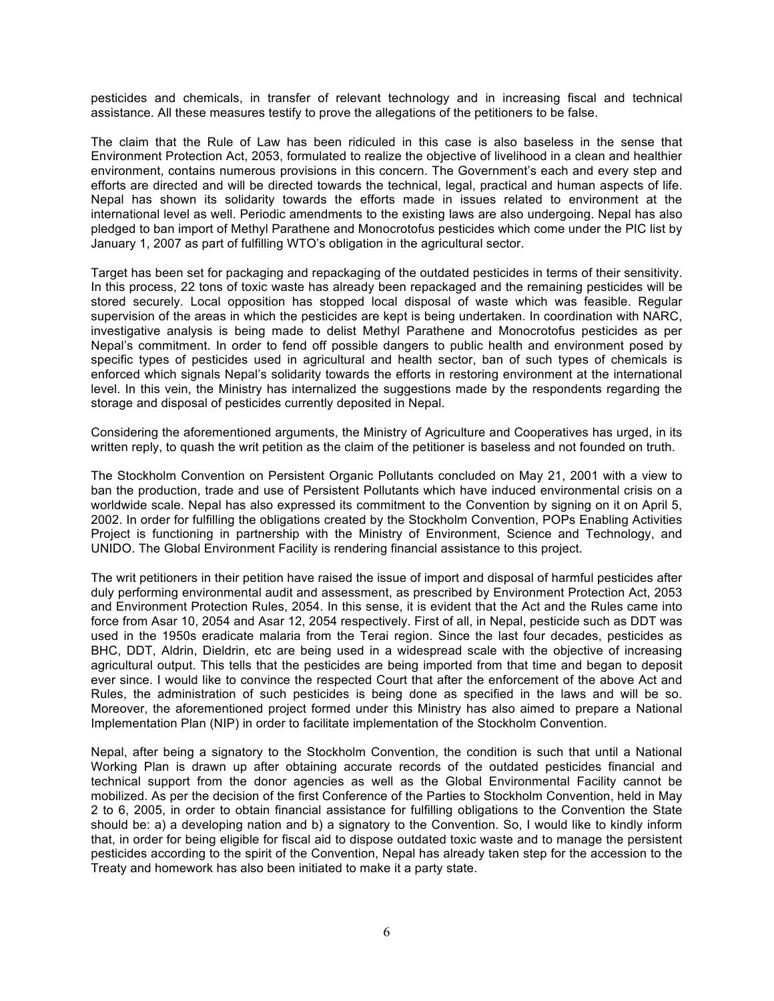pesticides and chemicals, in transfer of relevant technology and in increasing fiscal and technical assistance. All these measures testify to prove the allegations of the petitioners to be false.

The claim that the Rule of Law has been ridiculed in this case is also baseless in the sense that Environment Protection Act, 2053, formulated to realize the objective of livelihood in a clean and healthier environment, contains numerous provisions in this concern. The Government's each and every step and efforts are directed and will be directed towards the technical, legal, practical and human aspects of life. Nepal has shown its solidarity towards the efforts made in issues related to environment at the international level as well. Periodic amendments to the existing laws are also undergoing. Nepal has also pledged to ban import of Methyl Parathene and Monocrotofus pesticides which come under the PIC list by January 1, 2007 as part of fulfilling WTO's obligation in the agricultural sector.

Target has been set for packaging and repackaging of the outdated pesticides in terms of their sensitivity. In this process, 22 tons of toxic waste has already been repackaged and the remaining pesticides will be stored securely. Local opposition has stopped local disposal of waste which was feasible. Regular supervision of the areas in which the pesticides are kept is being undertaken. In coordination with NARC, investigative analysis is being made to delist Methyl Parathene and Monocrotofus pesticides as per Nepal's commitment. In order to fend off possible dangers to public health and environment posed by specific types of pesticides used in agricultural and health sector, ban of such types of chemicals is enforced which signals Nepal's solidarity towards the efforts in restoring environment at the international level. In this vein, the Ministry has internalized the suggestions made by the respondents regarding the storage and disposal of pesticides currently deposited in Nepal.

Considering the aforementioned arguments, the Ministry of Agriculture and Cooperatives has urged, in its written reply, to quash the writ petition as the claim of the petitioner is baseless and not founded on truth.

The Stockholm Convention on Persistent Organic Pollutants concluded on May 21, 2001 with a view to ban the production, trade and use of Persistent Pollutants which have induced environmental crisis on a worldwide scale. Nepal has also expressed its commitment to the Convention by signing on it on April 5, 2002. In order for fulfilling the obligations created by the Stockholm Convention, POPs Enabling Activities Proiect is functioning in partnership with the Ministry of Environment, Science and Technology, and UNIDO. The Global Environment Facility is rendering financial assistance to this project.

The writ petitioners in their petition have raised the issue of import and disposal of harmful pesticides after duly performing environmental audit and assessment, as prescribed by Environment Protection Act, 2053 and Environment Protection Rules, 2054. In this sense, it is evident that the Act and the Rules came into force from Asar 10, 2054 and Asar 12, 2054 respectively. First of all, in Nepal, pesticide such as DDT was used in the 1950s eradicate malaria from the Terai region. Since the last four decades, pesticides as BHC, DDT, Aldrin, Dieldrin, etc are being used in a widespread scale with the objective of increasing agricultural output. This tells that the pesticides are being imported from that time and began to deposit ever since. I would like to convince the respected Court that after the enforcement of the above Act and Rules, the administration of such pesticides is being done as specified in the laws and will be so. Moreover, the aforementioned project formed under this Ministry has also aimed to prepare a National Implementation Plan (NIP) in order to facilitate implementation of the Stockholm Convention.

Nepal, after being a signatory to the Stockholm Convention, the condition is such that until a National Working Plan is drawn up after obtaining accurate records of the outdated pesticides financial and technical support from the donor agencies as well as the Global Environmental Facility cannot be mobilized. As per the decision of the first Conference of the Parties to Stockholm Convention, held in May 2 to 6, 2005, in order to obtain financial assistance for fulfilling obligations to the Convention the State should be: a) a developing nation and b) a signatory to the Convention. So, I would like to kindly inform that, in order for being eligible for fiscal aid to dispose outdated toxic waste and to manage the persistent pesticides according to the spirit of the Convention, Nepal has already taken step for the accession to the Treaty and homework has also been initiated to make it a party state.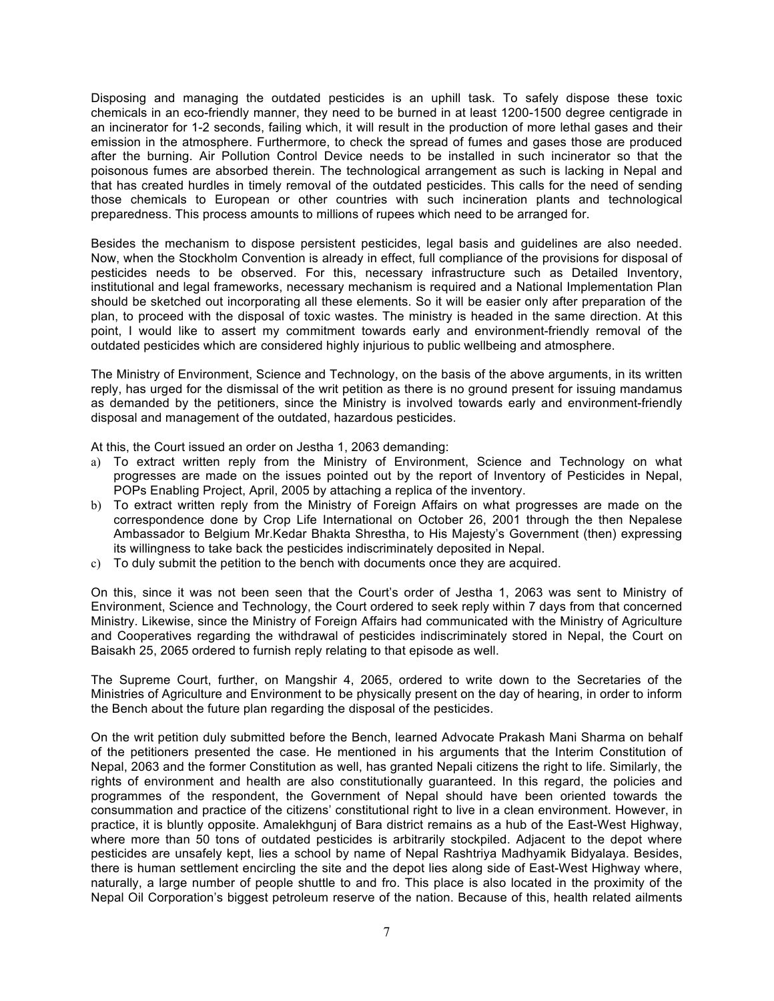Disposing and managing the outdated pesticides is an uphill task. To safely dispose these toxic chemicals in an eco-friendly manner, they need to be burned in at least 1200-1500 degree centigrade in an incinerator for 1-2 seconds, failing which, it will result in the production of more lethal gases and their emission in the atmosphere. Furthermore, to check the spread of fumes and gases those are produced after the burning. Air Pollution Control Device needs to be installed in such incinerator so that the poisonous fumes are absorbed therein. The technological arrangement as such is lacking in Nepal and that has created hurdles in timely removal of the outdated pesticides. This calls for the need of sending those chemicals to European or other countries with such incineration plants and technological preparedness. This process amounts to millions of rupees which need to be arranged for.

Besides the mechanism to dispose persistent pesticides, legal basis and guidelines are also needed. Now, when the Stockholm Convention is already in effect, full compliance of the provisions for disposal of pesticides needs to be observed. For this, necessary infrastructure such as Detailed Inventory, institutional and legal frameworks, necessary mechanism is required and a National Implementation Plan should be sketched out incorporating all these elements. So it will be easier only after preparation of the plan, to proceed with the disposal of toxic wastes. The ministry is headed in the same direction. At this point, I would like to assert my commitment towards early and environment-friendly removal of the outdated pesticides which are considered highly injurious to public wellbeing and atmosphere.

The Ministry of Environment, Science and Technology, on the basis of the above arguments, in its written reply, has urged for the dismissal of the writ petition as there is no ground present for issuing mandamus as demanded by the petitioners, since the Ministry is involved towards early and environment-friendly disposal and management of the outdated, hazardous pesticides.

At this, the Court issued an order on Jestha 1, 2063 demanding:

- a) To extract written reply from the Ministry of Environment, Science and Technology on what progresses are made on the issues pointed out by the report of Inventory of Pesticides in Nepal, POPs Enabling Project, April, 2005 by attaching a replica of the inventory.
- b) To extract written reply from the Ministry of Foreign Affairs on what progresses are made on the correspondence done by Crop Life International on October 26, 2001 through the then Nepalese Ambassador to Belgium Mr.Kedar Bhakta Shrestha, to His Majesty's Government (then) expressing its willingness to take back the pesticides indiscriminately deposited in Nepal.
- c) To duly submit the petition to the bench with documents once they are acquired.

On this, since it was not been seen that the Court's order of Jestha 1, 2063 was sent to Ministry of Environment, Science and Technology, the Court ordered to seek reply within 7 days from that concerned Ministry. Likewise, since the Ministry of Foreign Affairs had communicated with the Ministry of Agriculture and Cooperatives regarding the withdrawal of pesticides indiscriminately stored in Nepal, the Court on Baisakh 25, 2065 ordered to furnish reply relating to that episode as well.

The Supreme Court, further, on Mangshir 4, 2065, ordered to write down to the Secretaries of the Ministries of Agriculture and Environment to be physically present on the day of hearing, in order to inform the Bench about the future plan regarding the disposal of the pesticides.

On the writ petition duly submitted before the Bench, learned Advocate Prakash Mani Sharma on behalf of the petitioners presented the case. He mentioned in his arguments that the Interim Constitution of Nepal, 2063 and the former Constitution as well, has granted Nepali citizens the right to life. Similarly, the rights of environment and health are also constitutionally guaranteed. In this regard, the policies and programmes of the respondent, the Government of Nepal should have been oriented towards the consummation and practice of the citizens' constitutional right to live in a clean environment. However, in practice, it is bluntly opposite. Amalekhgunj of Bara district remains as a hub of the East-West Highway, where more than 50 tons of outdated pesticides is arbitrarily stockpiled. Adjacent to the depot where pesticides are unsafely kept, lies a school by name of Nepal Rashtriya Madhyamik Bidyalaya. Besides, there is human settlement encircling the site and the depot lies along side of East-West Highway where, naturally, a large number of people shuttle to and fro. This place is also located in the proximity of the Nepal Oil Corporation's biggest petroleum reserve of the nation. Because of this, health related ailments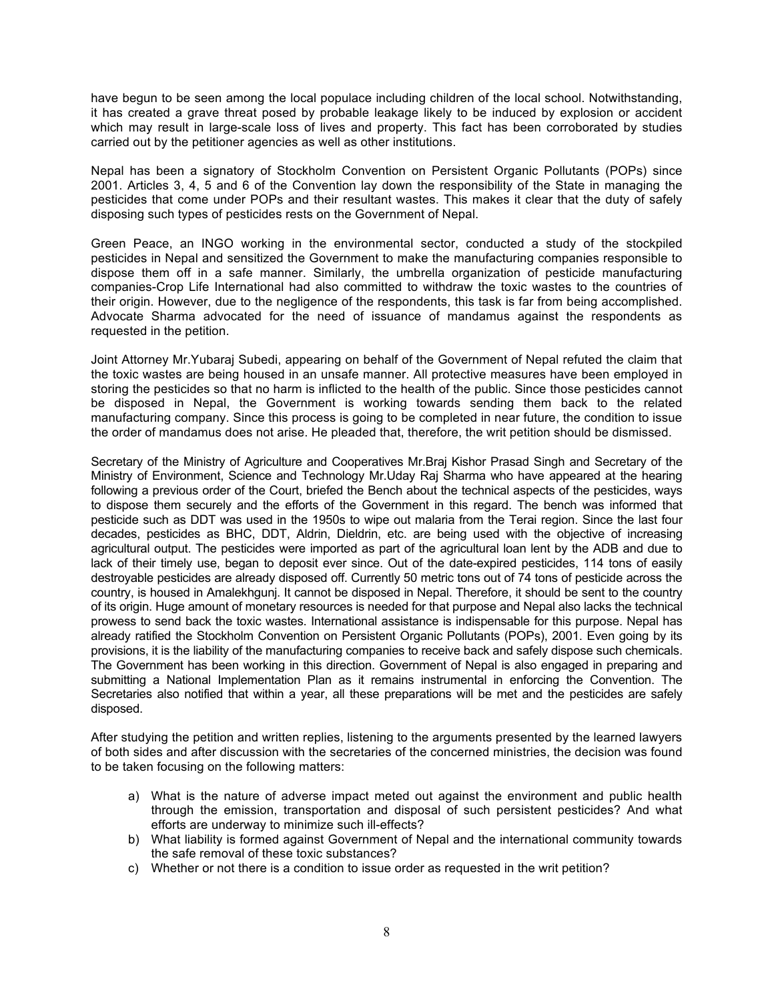have begun to be seen among the local populace including children of the local school. Notwithstanding, it has created a grave threat posed by probable leakage likely to be induced by explosion or accident which may result in large-scale loss of lives and property. This fact has been corroborated by studies carried out by the petitioner agencies as well as other institutions.

Nepal has been a signatory of Stockholm Convention on Persistent Organic Pollutants (POPs) since 2001. Articles 3, 4, 5 and 6 of the Convention lay down the responsibility of the State in managing the pesticides that come under POPs and their resultant wastes. This makes it clear that the duty of safely disposing such types of pesticides rests on the Government of Nepal.

Green Peace, an INGO working in the environmental sector, conducted a study of the stockpiled pesticides in Nepal and sensitized the Government to make the manufacturing companies responsible to dispose them off in a safe manner. Similarly, the umbrella organization of pesticide manufacturing companies-Crop Life International had also committed to withdraw the toxic wastes to the countries of their origin. However, due to the negligence of the respondents, this task is far from being accomplished. Advocate Sharma advocated for the need of issuance of mandamus against the respondents as requested in the petition.

Joint Attorney Mr.Yubaraj Subedi, appearing on behalf of the Government of Nepal refuted the claim that the toxic wastes are being housed in an unsafe manner. All protective measures have been employed in storing the pesticides so that no harm is inflicted to the health of the public. Since those pesticides cannot be disposed in Nepal, the Government is working towards sending them back to the related manufacturing company. Since this process is going to be completed in near future, the condition to issue the order of mandamus does not arise. He pleaded that, therefore, the writ petition should be dismissed.

Secretary of the Ministry of Agriculture and Cooperatives Mr.Braj Kishor Prasad Singh and Secretary of the Ministry of Environment, Science and Technology Mr.Uday Raj Sharma who have appeared at the hearing following a previous order of the Court, briefed the Bench about the technical aspects of the pesticides, ways to dispose them securely and the efforts of the Government in this regard. The bench was informed that pesticide such as DDT was used in the 1950s to wipe out malaria from the Terai region. Since the last four decades, pesticides as BHC, DDT, Aldrin, Dieldrin, etc. are being used with the objective of increasing agricultural output. The pesticides were imported as part of the agricultural loan lent by the ADB and due to lack of their timely use, began to deposit ever since. Out of the date-expired pesticides, 114 tons of easily destroyable pesticides are already disposed off. Currently 50 metric tons out of 74 tons of pesticide across the country, is housed in Amalekhgunj. It cannot be disposed in Nepal. Therefore, it should be sent to the country of its origin. Huge amount of monetary resources is needed for that purpose and Nepal also lacks the technical prowess to send back the toxic wastes. International assistance is indispensable for this purpose. Nepal has already ratified the Stockholm Convention on Persistent Organic Pollutants (POPs), 2001. Even going by its provisions, it is the liability of the manufacturing companies to receive back and safely dispose such chemicals. The Government has been working in this direction. Government of Nepal is also engaged in preparing and submitting a National Implementation Plan as it remains instrumental in enforcing the Convention. The Secretaries also notified that within a year, all these preparations will be met and the pesticides are safely disposed.

After studying the petition and written replies, listening to the arguments presented by the learned lawyers of both sides and after discussion with the secretaries of the concerned ministries, the decision was found to be taken focusing on the following matters:

- a) What is the nature of adverse impact meted out against the environment and public health through the emission, transportation and disposal of such persistent pesticides? And what efforts are underway to minimize such ill-effects?
- b) What liability is formed against Government of Nepal and the international community towards the safe removal of these toxic substances?
- c) Whether or not there is a condition to issue order as requested in the writ petition?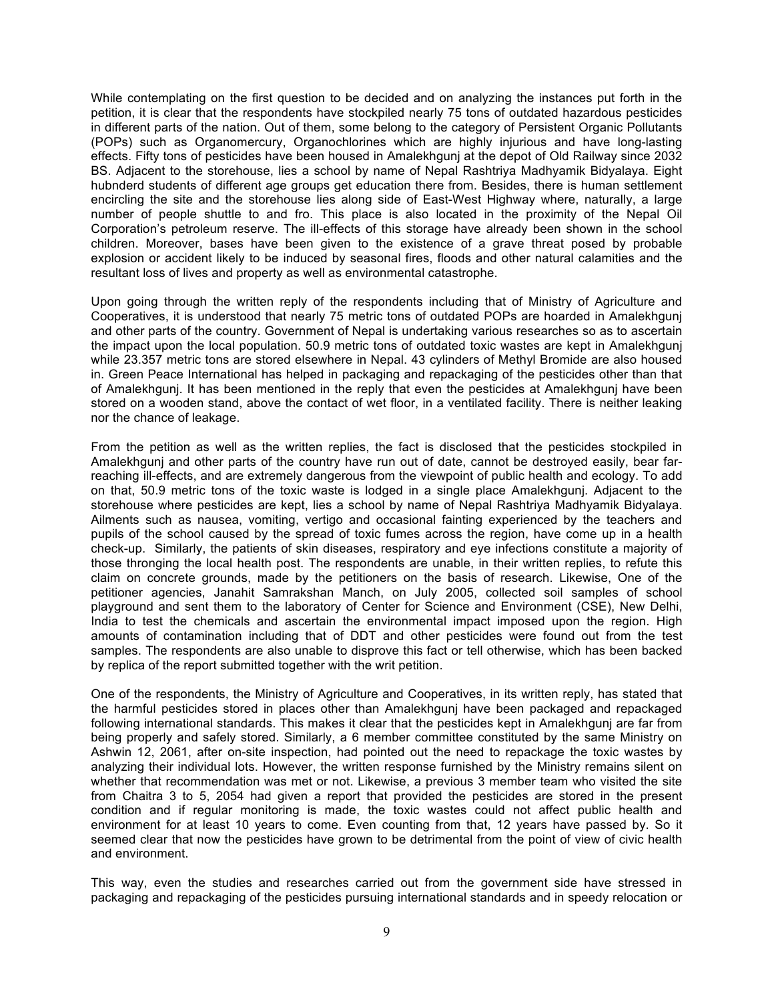While contemplating on the first question to be decided and on analyzing the instances put forth in the petition, it is clear that the respondents have stockpiled nearly 75 tons of outdated hazardous pesticides in different parts of the nation. Out of them, some belong to the category of Persistent Organic Pollutants (POPs) such as Organomercury, Organochlorines which are highly injurious and have long-lasting effects. Fifty tons of pesticides have been housed in Amalekhgunj at the depot of Old Railway since 2032 BS. Adjacent to the storehouse, lies a school by name of Nepal Rashtriya Madhyamik Bidyalaya. Eight hubnderd students of different age groups get education there from. Besides, there is human settlement encircling the site and the storehouse lies along side of East-West Highway where, naturally, a large number of people shuttle to and fro. This place is also located in the proximity of the Nepal Oil Corporation's petroleum reserve. The ill-effects of this storage have already been shown in the school children. Moreover, bases have been given to the existence of a grave threat posed by probable explosion or accident likely to be induced by seasonal fires, floods and other natural calamities and the resultant loss of lives and property as well as environmental catastrophe.

Upon going through the written reply of the respondents including that of Ministry of Agriculture and Cooperatives, it is understood that nearly 75 metric tons of outdated POPs are hoarded in Amalekhgunj and other parts of the country. Government of Nepal is undertaking various researches so as to ascertain the impact upon the local population. 50.9 metric tons of outdated toxic wastes are kept in Amalekhgunj while 23.357 metric tons are stored elsewhere in Nepal. 43 cylinders of Methyl Bromide are also housed in. Green Peace International has helped in packaging and repackaging of the pesticides other than that of Amalekhgunj. It has been mentioned in the reply that even the pesticides at Amalekhgunj have been stored on a wooden stand, above the contact of wet floor, in a ventilated facility. There is neither leaking nor the chance of leakage.

From the petition as well as the written replies, the fact is disclosed that the pesticides stockpiled in Amalekhgunj and other parts of the country have run out of date, cannot be destroyed easily, bear farreaching ill-effects, and are extremely dangerous from the viewpoint of public health and ecology. To add on that, 50.9 metric tons of the toxic waste is lodged in a single place Amalekhgunj. Adjacent to the storehouse where pesticides are kept, lies a school by name of Nepal Rashtriya Madhyamik Bidyalaya. Ailments such as nausea, vomiting, vertigo and occasional fainting experienced by the teachers and pupils of the school caused by the spread of toxic fumes across the region, have come up in a health check-up. Similarly, the patients of skin diseases, respiratory and eye infections constitute a majority of those thronging the local health post. The respondents are unable, in their written replies, to refute this claim on concrete grounds, made by the petitioners on the basis of research. Likewise, One of the petitioner agencies, Janahit Samrakshan Manch, on July 2005, collected soil samples of school playground and sent them to the laboratory of Center for Science and Environment (CSE), New Delhi, India to test the chemicals and ascertain the environmental impact imposed upon the region. High amounts of contamination including that of DDT and other pesticides were found out from the test samples. The respondents are also unable to disprove this fact or tell otherwise, which has been backed by replica of the report submitted together with the writ petition.

One of the respondents, the Ministry of Agriculture and Cooperatives, in its written reply, has stated that the harmful pesticides stored in places other than Amalekhgunj have been packaged and repackaged following international standards. This makes it clear that the pesticides kept in Amalekhgunj are far from being properly and safely stored. Similarly, a 6 member committee constituted by the same Ministry on Ashwin 12, 2061, after on-site inspection, had pointed out the need to repackage the toxic wastes by analyzing their individual lots. However, the written response furnished by the Ministry remains silent on whether that recommendation was met or not. Likewise, a previous 3 member team who visited the site from Chaitra 3 to 5, 2054 had given a report that provided the pesticides are stored in the present condition and if regular monitoring is made, the toxic wastes could not affect public health and environment for at least 10 years to come. Even counting from that, 12 years have passed by. So it seemed clear that now the pesticides have grown to be detrimental from the point of view of civic health and environment.

This way, even the studies and researches carried out from the government side have stressed in packaging and repackaging of the pesticides pursuing international standards and in speedy relocation or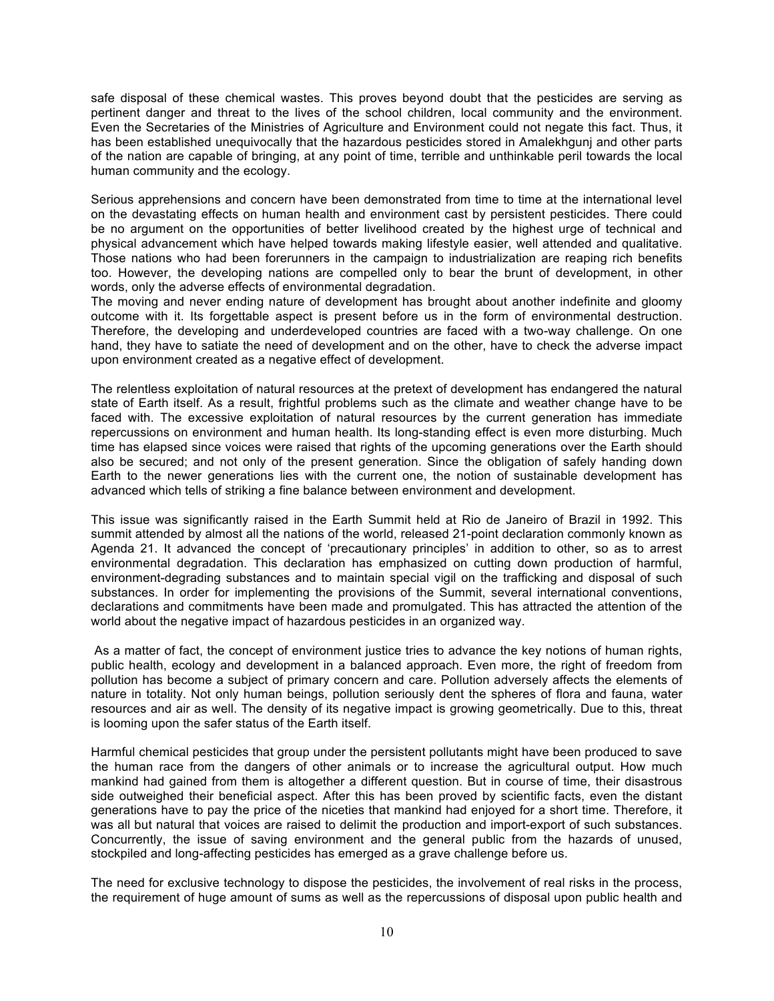safe disposal of these chemical wastes. This proves beyond doubt that the pesticides are serving as pertinent danger and threat to the lives of the school children, local community and the environment. Even the Secretaries of the Ministries of Agriculture and Environment could not negate this fact. Thus, it has been established unequivocally that the hazardous pesticides stored in Amalekhgunj and other parts of the nation are capable of bringing, at any point of time, terrible and unthinkable peril towards the local human community and the ecology.

Serious apprehensions and concern have been demonstrated from time to time at the international level on the devastating effects on human health and environment cast by persistent pesticides. There could be no argument on the opportunities of better livelihood created by the highest urge of technical and physical advancement which have helped towards making lifestyle easier, well attended and qualitative. Those nations who had been forerunners in the campaign to industrialization are reaping rich benefits too. However, the developing nations are compelled only to bear the brunt of development, in other words, only the adverse effects of environmental degradation.

The moving and never ending nature of development has brought about another indefinite and gloomy outcome with it. Its forgettable aspect is present before us in the form of environmental destruction. Therefore, the developing and underdeveloped countries are faced with a two-way challenge. On one hand, they have to satiate the need of development and on the other, have to check the adverse impact upon environment created as a negative effect of development.

The relentless exploitation of natural resources at the pretext of development has endangered the natural state of Earth itself. As a result, frightful problems such as the climate and weather change have to be faced with. The excessive exploitation of natural resources by the current generation has immediate repercussions on environment and human health. Its long-standing effect is even more disturbing. Much time has elapsed since voices were raised that rights of the upcoming generations over the Earth should also be secured; and not only of the present generation. Since the obligation of safely handing down Earth to the newer generations lies with the current one, the notion of sustainable development has advanced which tells of striking a fine balance between environment and development.

This issue was significantly raised in the Earth Summit held at Rio de Janeiro of Brazil in 1992. This summit attended by almost all the nations of the world, released 21-point declaration commonly known as Agenda 21. It advanced the concept of 'precautionary principles' in addition to other, so as to arrest environmental degradation. This declaration has emphasized on cutting down production of harmful, environment-degrading substances and to maintain special vigil on the trafficking and disposal of such substances. In order for implementing the provisions of the Summit, several international conventions, declarations and commitments have been made and promulgated. This has attracted the attention of the world about the negative impact of hazardous pesticides in an organized way.

As a matter of fact, the concept of environment justice tries to advance the key notions of human rights, public health, ecology and development in a balanced approach. Even more, the right of freedom from pollution has become a subject of primary concern and care. Pollution adversely affects the elements of nature in totality. Not only human beings, pollution seriously dent the spheres of flora and fauna, water resources and air as well. The density of its negative impact is growing geometrically. Due to this, threat is looming upon the safer status of the Earth itself.

Harmful chemical pesticides that group under the persistent pollutants might have been produced to save the human race from the dangers of other animals or to increase the agricultural output. How much mankind had gained from them is altogether a different question. But in course of time, their disastrous side outweighed their beneficial aspect. After this has been proved by scientific facts, even the distant generations have to pay the price of the niceties that mankind had enjoyed for a short time. Therefore, it was all but natural that voices are raised to delimit the production and import-export of such substances. Concurrently, the issue of saving environment and the general public from the hazards of unused, stockpiled and long-affecting pesticides has emerged as a grave challenge before us.

The need for exclusive technology to dispose the pesticides, the involvement of real risks in the process, the requirement of huge amount of sums as well as the repercussions of disposal upon public health and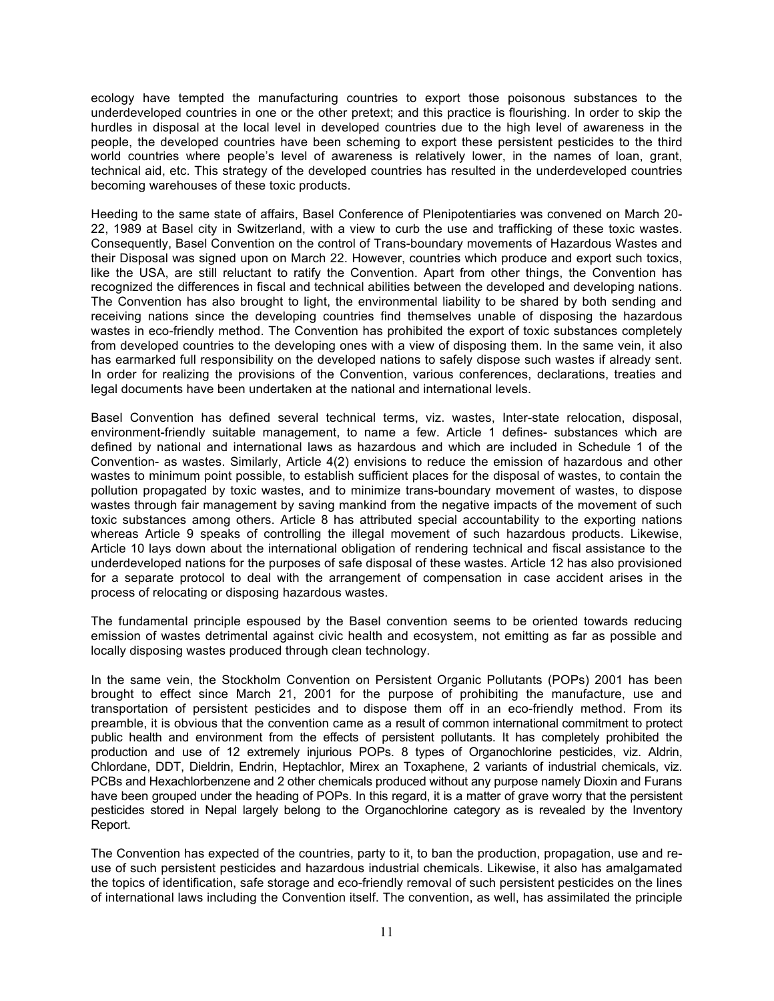ecology have tempted the manufacturing countries to export those poisonous substances to the underdeveloped countries in one or the other pretext; and this practice is flourishing. In order to skip the hurdles in disposal at the local level in developed countries due to the high level of awareness in the people, the developed countries have been scheming to export these persistent pesticides to the third world countries where people's level of awareness is relatively lower, in the names of loan, grant, technical aid, etc. This strategy of the developed countries has resulted in the underdeveloped countries becoming warehouses of these toxic products.

Heeding to the same state of affairs, Basel Conference of Plenipotentiaries was convened on March 20- 22, 1989 at Basel city in Switzerland, with a view to curb the use and trafficking of these toxic wastes. Consequently, Basel Convention on the control of Trans-boundary movements of Hazardous Wastes and their Disposal was signed upon on March 22. However, countries which produce and export such toxics, like the USA, are still reluctant to ratify the Convention. Apart from other things, the Convention has recognized the differences in fiscal and technical abilities between the developed and developing nations. The Convention has also brought to light, the environmental liability to be shared by both sending and receiving nations since the developing countries find themselves unable of disposing the hazardous wastes in eco-friendly method. The Convention has prohibited the export of toxic substances completely from developed countries to the developing ones with a view of disposing them. In the same vein, it also has earmarked full responsibility on the developed nations to safely dispose such wastes if already sent. In order for realizing the provisions of the Convention, various conferences, declarations, treaties and legal documents have been undertaken at the national and international levels.

Basel Convention has defined several technical terms, viz. wastes, Inter-state relocation, disposal, environment-friendly suitable management, to name a few. Article 1 defines- substances which are defined by national and international laws as hazardous and which are included in Schedule 1 of the Convention- as wastes. Similarly, Article 4(2) envisions to reduce the emission of hazardous and other wastes to minimum point possible, to establish sufficient places for the disposal of wastes, to contain the pollution propagated by toxic wastes, and to minimize trans-boundary movement of wastes, to dispose wastes through fair management by saving mankind from the negative impacts of the movement of such toxic substances among others. Article 8 has attributed special accountability to the exporting nations whereas Article 9 speaks of controlling the illegal movement of such hazardous products. Likewise, Article 10 lays down about the international obligation of rendering technical and fiscal assistance to the underdeveloped nations for the purposes of safe disposal of these wastes. Article 12 has also provisioned for a separate protocol to deal with the arrangement of compensation in case accident arises in the process of relocating or disposing hazardous wastes.

The fundamental principle espoused by the Basel convention seems to be oriented towards reducing emission of wastes detrimental against civic health and ecosystem, not emitting as far as possible and locally disposing wastes produced through clean technology.

In the same vein, the Stockholm Convention on Persistent Organic Pollutants (POPs) 2001 has been brought to effect since March 21, 2001 for the purpose of prohibiting the manufacture, use and transportation of persistent pesticides and to dispose them off in an eco-friendly method. From its preamble, it is obvious that the convention came as a result of common international commitment to protect public health and environment from the effects of persistent pollutants. It has completely prohibited the production and use of 12 extremely injurious POPs. 8 types of Organochlorine pesticides, viz. Aldrin, Chlordane, DDT, Dieldrin, Endrin, Heptachlor, Mirex an Toxaphene, 2 variants of industrial chemicals, viz. PCBs and Hexachlorbenzene and 2 other chemicals produced without any purpose namely Dioxin and Furans have been grouped under the heading of POPs. In this regard, it is a matter of grave worry that the persistent pesticides stored in Nepal largely belong to the Organochlorine category as is revealed by the Inventory Report.

The Convention has expected of the countries, party to it, to ban the production, propagation, use and reuse of such persistent pesticides and hazardous industrial chemicals. Likewise, it also has amalgamated the topics of identification, safe storage and eco-friendly removal of such persistent pesticides on the lines of international laws including the Convention itself. The convention, as well, has assimilated the principle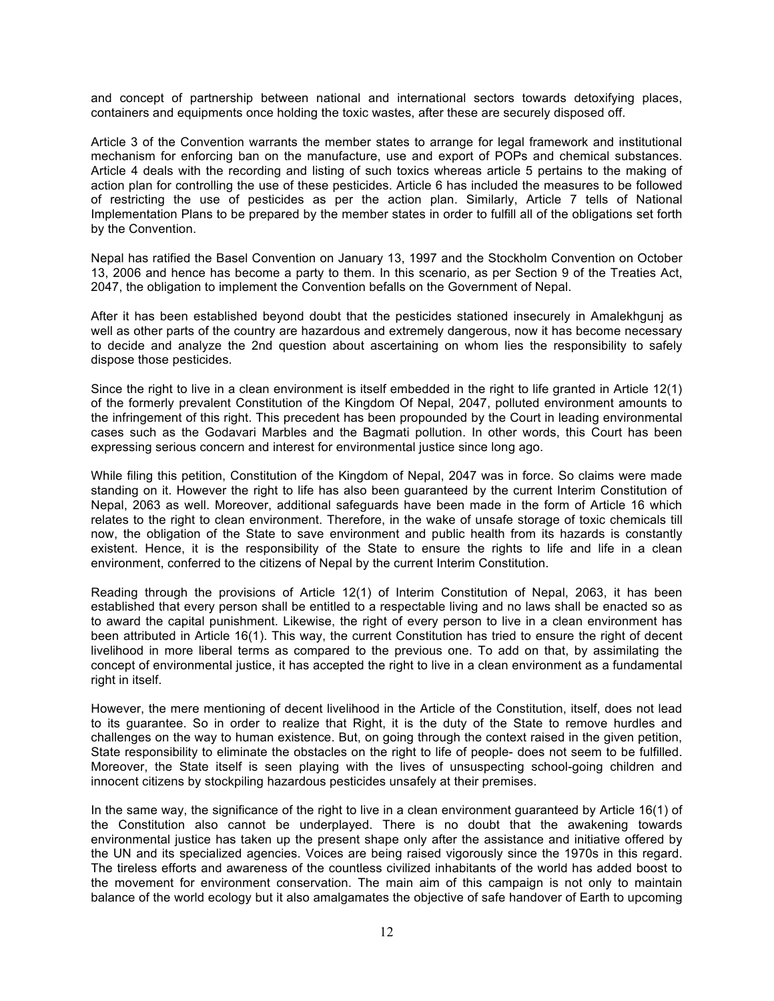and concept of partnership between national and international sectors towards detoxifying places, containers and equipments once holding the toxic wastes, after these are securely disposed off.

Article 3 of the Convention warrants the member states to arrange for legal framework and institutional mechanism for enforcing ban on the manufacture, use and export of POPs and chemical substances. Article 4 deals with the recording and listing of such toxics whereas article 5 pertains to the making of action plan for controlling the use of these pesticides. Article 6 has included the measures to be followed of restricting the use of pesticides as per the action plan. Similarly, Article 7 tells of National Implementation Plans to be prepared by the member states in order to fulfill all of the obligations set forth by the Convention.

Nepal has ratified the Basel Convention on January 13, 1997 and the Stockholm Convention on October 13, 2006 and hence has become a party to them. In this scenario, as per Section 9 of the Treaties Act, 2047, the obligation to implement the Convention befalls on the Government of Nepal.

After it has been established beyond doubt that the pesticides stationed insecurely in Amalekhgunj as well as other parts of the country are hazardous and extremely dangerous, now it has become necessary to decide and analyze the 2nd question about ascertaining on whom lies the responsibility to safely dispose those pesticides.

Since the right to live in a clean environment is itself embedded in the right to life granted in Article 12(1) of the formerly prevalent Constitution of the Kingdom Of Nepal, 2047, polluted environment amounts to the infringement of this right. This precedent has been propounded by the Court in leading environmental cases such as the Godavari Marbles and the Bagmati pollution. In other words, this Court has been expressing serious concern and interest for environmental justice since long ago.

While filing this petition, Constitution of the Kingdom of Nepal, 2047 was in force. So claims were made standing on it. However the right to life has also been guaranteed by the current Interim Constitution of Nepal, 2063 as well. Moreover, additional safeguards have been made in the form of Article 16 which relates to the right to clean environment. Therefore, in the wake of unsafe storage of toxic chemicals till now, the obligation of the State to save environment and public health from its hazards is constantly existent. Hence, it is the responsibility of the State to ensure the rights to life and life in a clean environment, conferred to the citizens of Nepal by the current Interim Constitution.

Reading through the provisions of Article 12(1) of Interim Constitution of Nepal, 2063, it has been established that every person shall be entitled to a respectable living and no laws shall be enacted so as to award the capital punishment. Likewise, the right of every person to live in a clean environment has been attributed in Article 16(1). This way, the current Constitution has tried to ensure the right of decent livelihood in more liberal terms as compared to the previous one. To add on that, by assimilating the concept of environmental justice, it has accepted the right to live in a clean environment as a fundamental right in itself.

However, the mere mentioning of decent livelihood in the Article of the Constitution, itself, does not lead to its guarantee. So in order to realize that Right, it is the duty of the State to remove hurdles and challenges on the way to human existence. But, on going through the context raised in the given petition, State responsibility to eliminate the obstacles on the right to life of people- does not seem to be fulfilled. Moreover, the State itself is seen playing with the lives of unsuspecting school-going children and innocent citizens by stockpiling hazardous pesticides unsafely at their premises.

In the same way, the significance of the right to live in a clean environment guaranteed by Article 16(1) of the Constitution also cannot be underplayed. There is no doubt that the awakening towards environmental justice has taken up the present shape only after the assistance and initiative offered by the UN and its specialized agencies. Voices are being raised vigorously since the 1970s in this regard. The tireless efforts and awareness of the countless civilized inhabitants of the world has added boost to the movement for environment conservation. The main aim of this campaign is not only to maintain balance of the world ecology but it also amalgamates the objective of safe handover of Earth to upcoming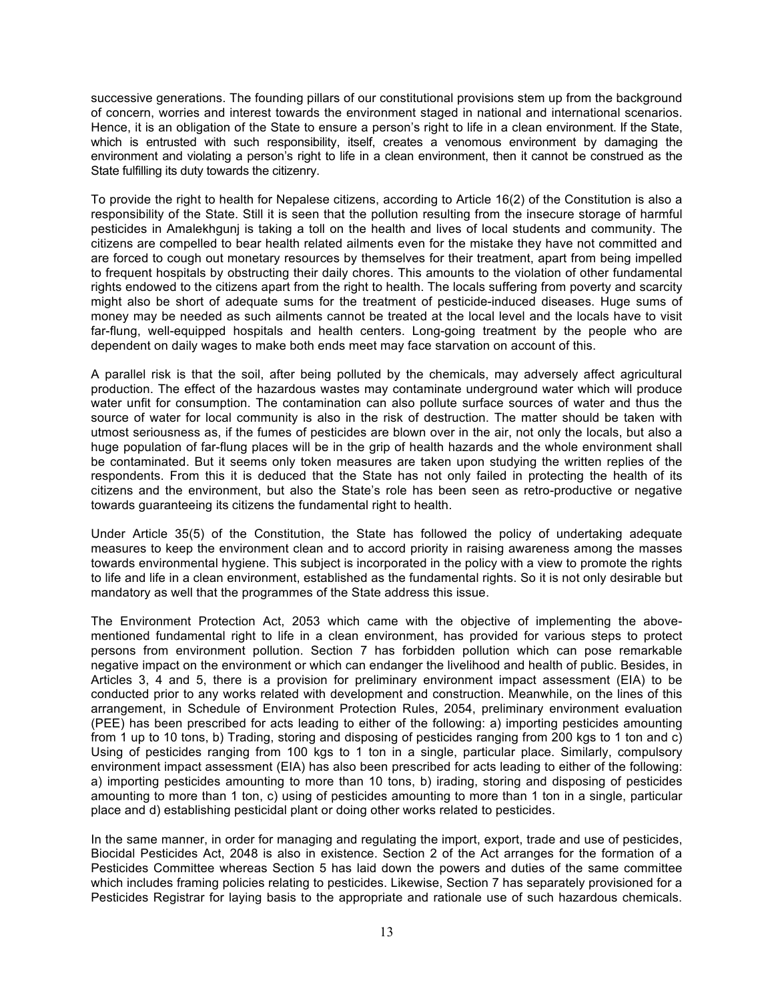successive generations. The founding pillars of our constitutional provisions stem up from the background of concern, worries and interest towards the environment staged in national and international scenarios. Hence, it is an obligation of the State to ensure a person's right to life in a clean environment. If the State, which is entrusted with such responsibility, itself, creates a venomous environment by damaging the environment and violating a person's right to life in a clean environment, then it cannot be construed as the State fulfilling its duty towards the citizenry.

To provide the right to health for Nepalese citizens, according to Article 16(2) of the Constitution is also a responsibility of the State. Still it is seen that the pollution resulting from the insecure storage of harmful pesticides in Amalekhgunj is taking a toll on the health and lives of local students and community. The citizens are compelled to bear health related ailments even for the mistake they have not committed and are forced to cough out monetary resources by themselves for their treatment, apart from being impelled to frequent hospitals by obstructing their daily chores. This amounts to the violation of other fundamental rights endowed to the citizens apart from the right to health. The locals suffering from poverty and scarcity might also be short of adequate sums for the treatment of pesticide-induced diseases. Huge sums of money may be needed as such ailments cannot be treated at the local level and the locals have to visit far-flung, well-equipped hospitals and health centers. Long-going treatment by the people who are dependent on daily wages to make both ends meet may face starvation on account of this.

A parallel risk is that the soil, after being polluted by the chemicals, may adversely affect agricultural production. The effect of the hazardous wastes may contaminate underground water which will produce water unfit for consumption. The contamination can also pollute surface sources of water and thus the source of water for local community is also in the risk of destruction. The matter should be taken with utmost seriousness as, if the fumes of pesticides are blown over in the air, not only the locals, but also a huge population of far-flung places will be in the grip of health hazards and the whole environment shall be contaminated. But it seems only token measures are taken upon studying the written replies of the respondents. From this it is deduced that the State has not only failed in protecting the health of its citizens and the environment, but also the State's role has been seen as retro-productive or negative towards guaranteeing its citizens the fundamental right to health.

Under Article 35(5) of the Constitution, the State has followed the policy of undertaking adequate measures to keep the environment clean and to accord priority in raising awareness among the masses towards environmental hygiene. This subject is incorporated in the policy with a view to promote the rights to life and life in a clean environment, established as the fundamental rights. So it is not only desirable but mandatory as well that the programmes of the State address this issue.

The Environment Protection Act, 2053 which came with the objective of implementing the abovementioned fundamental right to life in a clean environment, has provided for various steps to protect persons from environment pollution. Section 7 has forbidden pollution which can pose remarkable negative impact on the environment or which can endanger the livelihood and health of public. Besides, in Articles 3, 4 and 5, there is a provision for preliminary environment impact assessment (EIA) to be conducted prior to any works related with development and construction. Meanwhile, on the lines of this arrangement, in Schedule of Environment Protection Rules, 2054, preliminary environment evaluation (PEE) has been prescribed for acts leading to either of the following: a) importing pesticides amounting from 1 up to 10 tons, b) Trading, storing and disposing of pesticides ranging from 200 kgs to 1 ton and c) Using of pesticides ranging from 100 kgs to 1 ton in a single, particular place. Similarly, compulsory environment impact assessment (EIA) has also been prescribed for acts leading to either of the following: a) importing pesticides amounting to more than 10 tons, b) irading, storing and disposing of pesticides amounting to more than 1 ton, c) using of pesticides amounting to more than 1 ton in a single, particular place and d) establishing pesticidal plant or doing other works related to pesticides.

In the same manner, in order for managing and regulating the import, export, trade and use of pesticides, Biocidal Pesticides Act, 2048 is also in existence. Section 2 of the Act arranges for the formation of a Pesticides Committee whereas Section 5 has laid down the powers and duties of the same committee which includes framing policies relating to pesticides. Likewise, Section 7 has separately provisioned for a Pesticides Registrar for laying basis to the appropriate and rationale use of such hazardous chemicals.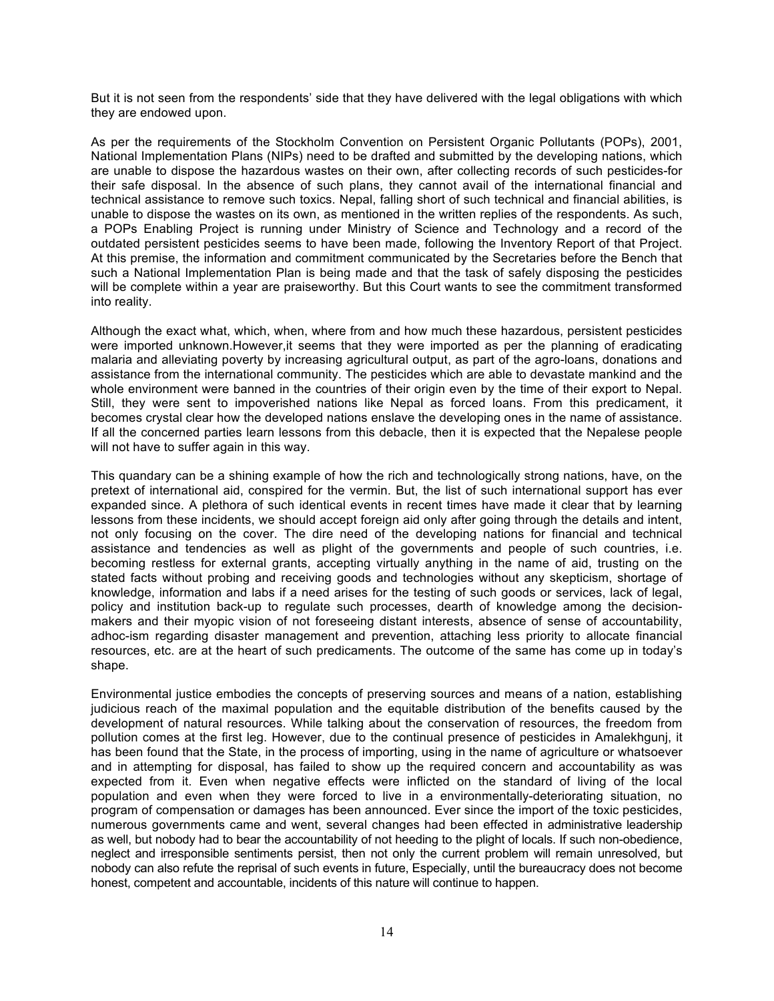But it is not seen from the respondents' side that they have delivered with the legal obligations with which they are endowed upon.

As per the requirements of the Stockholm Convention on Persistent Organic Pollutants (POPs), 2001, National Implementation Plans (NIPs) need to be drafted and submitted by the developing nations, which are unable to dispose the hazardous wastes on their own, after collecting records of such pesticides-for their safe disposal. In the absence of such plans, they cannot avail of the international financial and technical assistance to remove such toxics. Nepal, falling short of such technical and financial abilities, is unable to dispose the wastes on its own, as mentioned in the written replies of the respondents. As such, a POPs Enabling Project is running under Ministry of Science and Technology and a record of the outdated persistent pesticides seems to have been made, following the Inventory Report of that Project. At this premise, the information and commitment communicated by the Secretaries before the Bench that such a National Implementation Plan is being made and that the task of safely disposing the pesticides will be complete within a year are praiseworthy. But this Court wants to see the commitment transformed into reality.

Although the exact what, which, when, where from and how much these hazardous, persistent pesticides were imported unknown.However,it seems that they were imported as per the planning of eradicating malaria and alleviating poverty by increasing agricultural output, as part of the agro-loans, donations and assistance from the international community. The pesticides which are able to devastate mankind and the whole environment were banned in the countries of their origin even by the time of their export to Nepal. Still, they were sent to impoverished nations like Nepal as forced loans. From this predicament, it becomes crystal clear how the developed nations enslave the developing ones in the name of assistance. If all the concerned parties learn lessons from this debacle, then it is expected that the Nepalese people will not have to suffer again in this way.

This quandary can be a shining example of how the rich and technologically strong nations, have, on the pretext of international aid, conspired for the vermin. But, the list of such international support has ever expanded since. A plethora of such identical events in recent times have made it clear that by learning lessons from these incidents, we should accept foreign aid only after going through the details and intent, not only focusing on the cover. The dire need of the developing nations for financial and technical assistance and tendencies as well as plight of the governments and people of such countries, i.e. becoming restless for external grants, accepting virtually anything in the name of aid, trusting on the stated facts without probing and receiving goods and technologies without any skepticism, shortage of knowledge, information and labs if a need arises for the testing of such goods or services, lack of legal, policy and institution back-up to regulate such processes, dearth of knowledge among the decisionmakers and their myopic vision of not foreseeing distant interests, absence of sense of accountability, adhoc-ism regarding disaster management and prevention, attaching less priority to allocate financial resources, etc. are at the heart of such predicaments. The outcome of the same has come up in today's shape.

Environmental justice embodies the concepts of preserving sources and means of a nation, establishing judicious reach of the maximal population and the equitable distribution of the benefits caused by the development of natural resources. While talking about the conservation of resources, the freedom from pollution comes at the first leg. However, due to the continual presence of pesticides in Amalekhgunj, it has been found that the State, in the process of importing, using in the name of agriculture or whatsoever and in attempting for disposal, has failed to show up the required concern and accountability as was expected from it. Even when negative effects were inflicted on the standard of living of the local population and even when they were forced to live in a environmentally-deteriorating situation, no program of compensation or damages has been announced. Ever since the import of the toxic pesticides, numerous governments came and went, several changes had been effected in administrative leadership as well, but nobody had to bear the accountability of not heeding to the plight of locals. If such non-obedience, neglect and irresponsible sentiments persist, then not only the current problem will remain unresolved, but nobody can also refute the reprisal of such events in future, Especially, until the bureaucracy does not become honest, competent and accountable, incidents of this nature will continue to happen.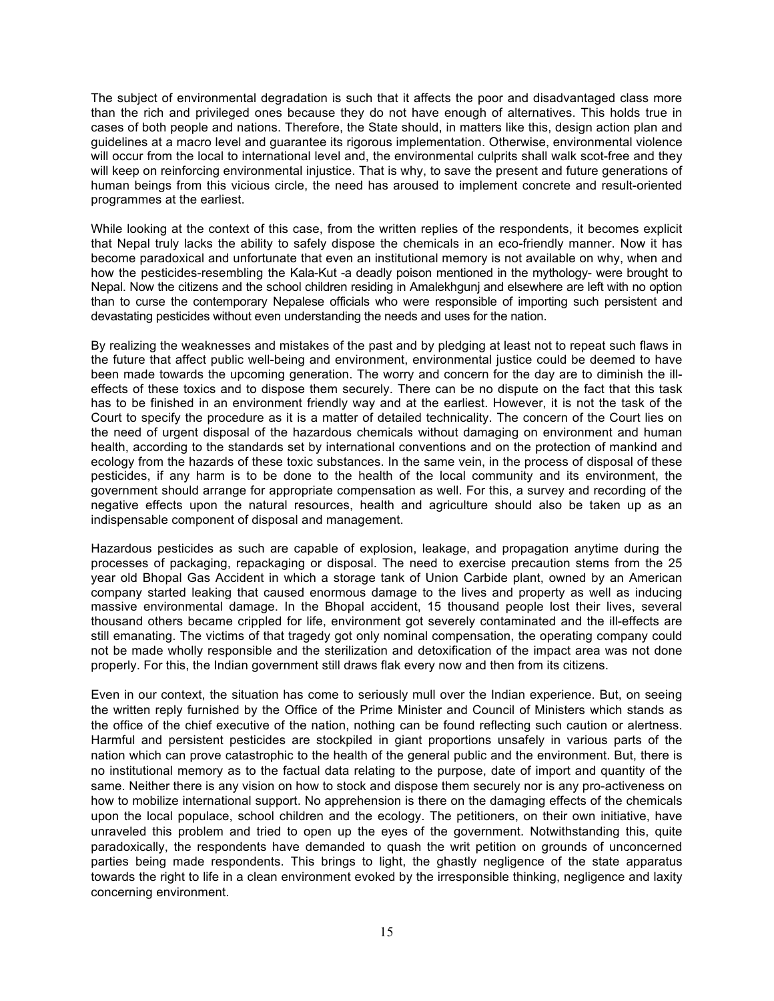The subject of environmental degradation is such that it affects the poor and disadvantaged class more than the rich and privileged ones because they do not have enough of alternatives. This holds true in cases of both people and nations. Therefore, the State should, in matters like this, design action plan and guidelines at a macro level and guarantee its rigorous implementation. Otherwise, environmental violence will occur from the local to international level and, the environmental culprits shall walk scot-free and they will keep on reinforcing environmental injustice. That is why, to save the present and future generations of human beings from this vicious circle, the need has aroused to implement concrete and result-oriented programmes at the earliest.

While looking at the context of this case, from the written replies of the respondents, it becomes explicit that Nepal truly lacks the ability to safely dispose the chemicals in an eco-friendly manner. Now it has become paradoxical and unfortunate that even an institutional memory is not available on why, when and how the pesticides-resembling the Kala-Kut -a deadly poison mentioned in the mythology- were brought to Nepal. Now the citizens and the school children residing in Amalekhgunj and elsewhere are left with no option than to curse the contemporary Nepalese officials who were responsible of importing such persistent and devastating pesticides without even understanding the needs and uses for the nation.

By realizing the weaknesses and mistakes of the past and by pledging at least not to repeat such flaws in the future that affect public well-being and environment, environmental justice could be deemed to have been made towards the upcoming generation. The worry and concern for the day are to diminish the illeffects of these toxics and to dispose them securely. There can be no dispute on the fact that this task has to be finished in an environment friendly way and at the earliest. However, it is not the task of the Court to specify the procedure as it is a matter of detailed technicality. The concern of the Court lies on the need of urgent disposal of the hazardous chemicals without damaging on environment and human health, according to the standards set by international conventions and on the protection of mankind and ecology from the hazards of these toxic substances. In the same vein, in the process of disposal of these pesticides, if any harm is to be done to the health of the local community and its environment, the government should arrange for appropriate compensation as well. For this, a survey and recording of the negative effects upon the natural resources, health and agriculture should also be taken up as an indispensable component of disposal and management.

Hazardous pesticides as such are capable of explosion, leakage, and propagation anytime during the processes of packaging, repackaging or disposal. The need to exercise precaution stems from the 25 year old Bhopal Gas Accident in which a storage tank of Union Carbide plant, owned by an American company started leaking that caused enormous damage to the lives and property as well as inducing massive environmental damage. In the Bhopal accident, 15 thousand people lost their lives, several thousand others became crippled for life, environment got severely contaminated and the ill-effects are still emanating. The victims of that tragedy got only nominal compensation, the operating company could not be made wholly responsible and the sterilization and detoxification of the impact area was not done properly. For this, the Indian government still draws flak every now and then from its citizens.

Even in our context, the situation has come to seriously mull over the Indian experience. But, on seeing the written reply furnished by the Office of the Prime Minister and Council of Ministers which stands as the office of the chief executive of the nation, nothing can be found reflecting such caution or alertness. Harmful and persistent pesticides are stockpiled in giant proportions unsafely in various parts of the nation which can prove catastrophic to the health of the general public and the environment. But, there is no institutional memory as to the factual data relating to the purpose, date of import and quantity of the same. Neither there is any vision on how to stock and dispose them securely nor is any pro-activeness on how to mobilize international support. No apprehension is there on the damaging effects of the chemicals upon the local populace, school children and the ecology. The petitioners, on their own initiative, have unraveled this problem and tried to open up the eyes of the government. Notwithstanding this, quite paradoxically, the respondents have demanded to quash the writ petition on grounds of unconcerned parties being made respondents. This brings to light, the ghastly negligence of the state apparatus towards the right to life in a clean environment evoked by the irresponsible thinking, negligence and laxity concerning environment.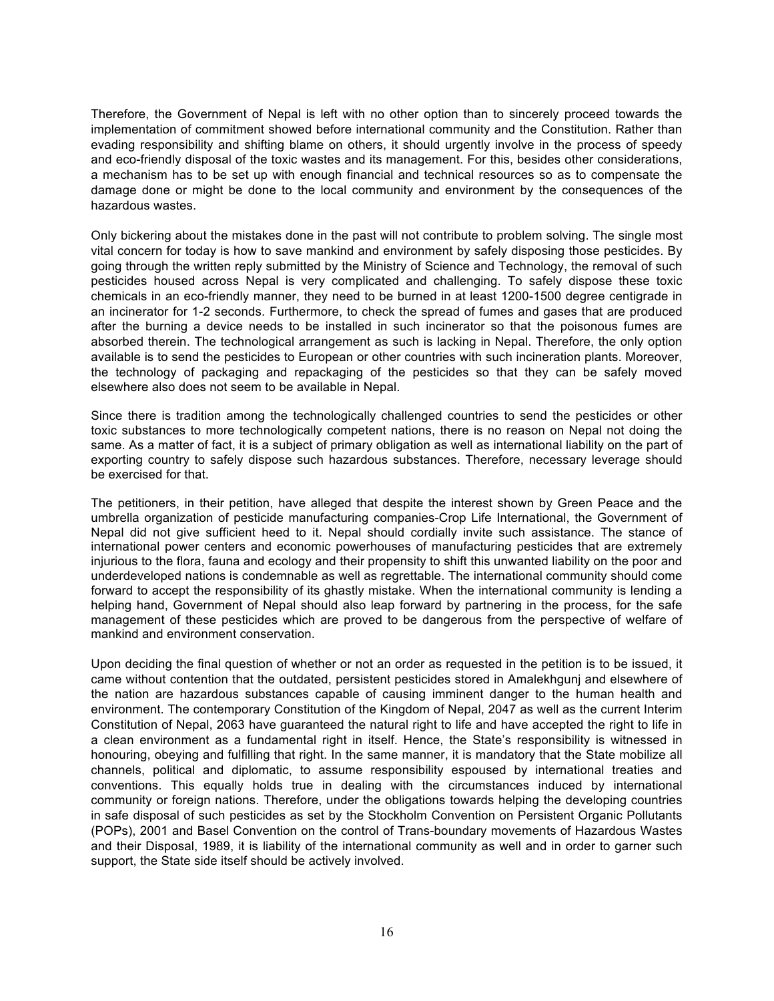Therefore, the Government of Nepal is left with no other option than to sincerely proceed towards the implementation of commitment showed before international community and the Constitution. Rather than evading responsibility and shifting blame on others, it should urgently involve in the process of speedy and eco-friendly disposal of the toxic wastes and its management. For this, besides other considerations, a mechanism has to be set up with enough financial and technical resources so as to compensate the damage done or might be done to the local community and environment by the consequences of the hazardous wastes.

Only bickering about the mistakes done in the past will not contribute to problem solving. The single most vital concern for today is how to save mankind and environment by safely disposing those pesticides. By going through the written reply submitted by the Ministry of Science and Technology, the removal of such pesticides housed across Nepal is very complicated and challenging. To safely dispose these toxic chemicals in an eco-friendly manner, they need to be burned in at least 1200-1500 degree centigrade in an incinerator for 1-2 seconds. Furthermore, to check the spread of fumes and gases that are produced after the burning a device needs to be installed in such incinerator so that the poisonous fumes are absorbed therein. The technological arrangement as such is lacking in Nepal. Therefore, the only option available is to send the pesticides to European or other countries with such incineration plants. Moreover, the technology of packaging and repackaging of the pesticides so that they can be safely moved elsewhere also does not seem to be available in Nepal.

Since there is tradition among the technologically challenged countries to send the pesticides or other toxic substances to more technologically competent nations, there is no reason on Nepal not doing the same. As a matter of fact, it is a subject of primary obligation as well as international liability on the part of exporting country to safely dispose such hazardous substances. Therefore, necessary leverage should be exercised for that.

The petitioners, in their petition, have alleged that despite the interest shown by Green Peace and the umbrella organization of pesticide manufacturing companies-Crop Life International, the Government of Nepal did not give sufficient heed to it. Nepal should cordially invite such assistance. The stance of international power centers and economic powerhouses of manufacturing pesticides that are extremely injurious to the flora, fauna and ecology and their propensity to shift this unwanted liability on the poor and underdeveloped nations is condemnable as well as regrettable. The international community should come forward to accept the responsibility of its ghastly mistake. When the international community is lending a helping hand, Government of Nepal should also leap forward by partnering in the process, for the safe management of these pesticides which are proved to be dangerous from the perspective of welfare of mankind and environment conservation.

Upon deciding the final question of whether or not an order as requested in the petition is to be issued, it came without contention that the outdated, persistent pesticides stored in Amalekhgunj and elsewhere of the nation are hazardous substances capable of causing imminent danger to the human health and environment. The contemporary Constitution of the Kingdom of Nepal, 2047 as well as the current Interim Constitution of Nepal, 2063 have guaranteed the natural right to life and have accepted the right to life in a clean environment as a fundamental right in itself. Hence, the State's responsibility is witnessed in honouring, obeying and fulfilling that right. In the same manner, it is mandatory that the State mobilize all channels, political and diplomatic, to assume responsibility espoused by international treaties and conventions. This equally holds true in dealing with the circumstances induced by international community or foreign nations. Therefore, under the obligations towards helping the developing countries in safe disposal of such pesticides as set by the Stockholm Convention on Persistent Organic Pollutants (POPs), 2001 and Basel Convention on the control of Trans-boundary movements of Hazardous Wastes and their Disposal, 1989, it is liability of the international community as well and in order to garner such support, the State side itself should be actively involved.